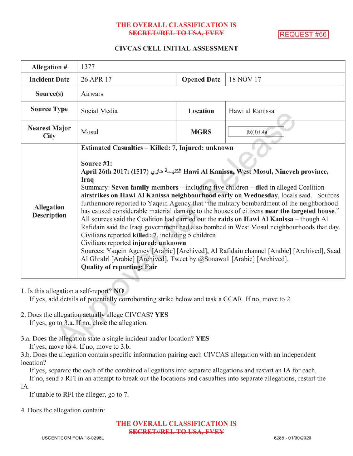# THE OVERALL CLASSIFICATION IS SECRET//REL TO USA, FVEY REQUEST #66

### CIVCAS CELL INITIAL ASSESSMENT

| Allegation #                 | 1377                                                                                                                                                                                                                                                                                                                                                                                                                                                                                                                                                                                                                                                                                                                                                                                                                                                                                                                                                                                                                                       |                    |                 |
|------------------------------|--------------------------------------------------------------------------------------------------------------------------------------------------------------------------------------------------------------------------------------------------------------------------------------------------------------------------------------------------------------------------------------------------------------------------------------------------------------------------------------------------------------------------------------------------------------------------------------------------------------------------------------------------------------------------------------------------------------------------------------------------------------------------------------------------------------------------------------------------------------------------------------------------------------------------------------------------------------------------------------------------------------------------------------------|--------------------|-----------------|
| <b>Incident Date</b>         | 26 APR 17                                                                                                                                                                                                                                                                                                                                                                                                                                                                                                                                                                                                                                                                                                                                                                                                                                                                                                                                                                                                                                  | <b>Opened Date</b> | 18 NOV 17       |
| Source(s)                    | Airwars                                                                                                                                                                                                                                                                                                                                                                                                                                                                                                                                                                                                                                                                                                                                                                                                                                                                                                                                                                                                                                    |                    |                 |
| <b>Source Type</b>           | Social Media                                                                                                                                                                                                                                                                                                                                                                                                                                                                                                                                                                                                                                                                                                                                                                                                                                                                                                                                                                                                                               | Location           | Hawi al Kanissa |
| <b>Nearest Major</b><br>City | Mosul                                                                                                                                                                                                                                                                                                                                                                                                                                                                                                                                                                                                                                                                                                                                                                                                                                                                                                                                                                                                                                      | <b>MGRS</b>        | (b)(1)1.4a      |
| Allegation<br>Description    | Estimated Casualties - Killed: 7, Injured: unknown<br>Source #1:<br>April 26th 2017: (1517) الكنيسة حاوي Hawi Al Kanissa, West Mosul, Nineveh province,<br>Iraq<br>Summary: Seven family members – including five children – died in alleged Coalition<br>airstrikes on Hawi Al Kanissa neighbourhood early on Wednesday, locals said. Sources<br>furthermore reported to Yaqein Agency that "the military bombardment of the neighborhood<br>has caused considerable material damage to the houses of citizens near the targeted house."<br>All sources said the Coalition had carried out the raids on Hawi Al Kanissa - though Al<br>Rafidain said the Iraqi government had also bombed in West Mosul neighbourhoods that day.<br>Civilians reported killed: 7. including 5 children<br>Civilians reported injured: unknown<br>Sources: Yaqein Agency [Arabic] [Archived], Al Rafidain channel [Arabic] [Archived], Saad<br>Al Ghralrl [Arabic] [Archived], Tweet by @Sonawa1 [Arabic] [Archived],<br><b>Quality of reporting: Fair</b> |                    |                 |

1. Is this allegation a self-report? NO

If yes, add details of potentially corroborating strike below and task a CCAR. If no, move to 2.

- 2. Does the allegation actually allege CIVCAS? YES If yes, go to 3.a. If no, close the allegation.
- 3.a. Does the allegation state a single incident and/or location? YES

If yes, move to 4. If no, move to 3.b.

3.b. Does the allegation contain specific information pairing each CIVCAS allegation with an independent location?

Ifyes, separate the each of the combined allegations into separate allegations and restart an IA for each.

If no, send a RFI in an attempt to break out the locations and casualties into separate allegations, restart the IA

If unable to RFI the alleger, go to 7.

4. Does the allegation contain:

THE OVERALL CLASSIFICATION IS **SECRET//REL TO USA, FVEY**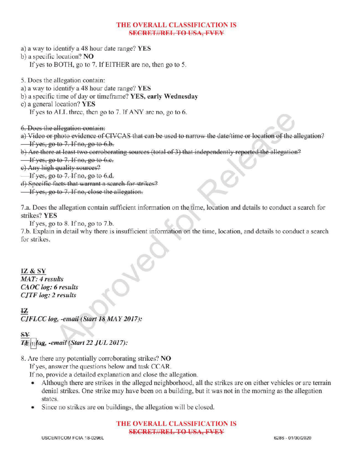### THE OVERALL CLASSIFICATION IS **SECRET//REL TO USA, FVEY**

- a) <sup>a</sup> way to identify <sup>a</sup> 48 hour date range? YES
- b) a specific location? NO
	- If yes to BOTH, go to 7. If EITHER are no, then go to 5.
- 5. Does the allegation contain:
- a) <sup>a</sup> way to identify <sup>a</sup> 48 hour date range? YES
- b) a specific time of day or timeframe? YES, early Wednesday
- c) a general location? YES
	- If yes to ALL three, then go to 7. If ANY are no, go to  $6$ .
- 6.Does the allegation contain :
- a) Video or photo evidence of CIVCAS that can be used to narrow the date/time or location of the allegation?  $\frac{1}{1}$  If yes, go to 7. If no, go to 6.b.
- b) Are there at least two corroborating sources (total of 3) that independently reported the allegation?
- $\frac{1}{1}$  yes, go to 7. If no, go to 6.e.
- e) Any high quality sources?
- If yes, go to 7. If no, go to 6.d.
- d) Specific facts that warrant a search for strikes?
- $\frac{1}{1}$  if yes, go to 7. If no, close the allegation.

7.a. Does the allegation contain sufficient information on the time, location and details to conduct a search for strikes? YES

If yes, go to  $8$ . If no, go to  $7.b$ .

7.b. Explain in detail why there is insufficient information on the time, location, and details to conduct <sup>a</sup> search a for strikes.

# IZ & SY

 $MAT: 4 results$ CAOC log: 6 results

 $log: 2$  results<br> $\sqrt{C \log_{10} \frac{1}{2} \log_{10} \frac{1}{2} \left( \frac{S}{2} \right)}$ 12

# $S_{\mathbf{V}}$

- $T_{\text{eff}}$   $\log$ , -email (Start 22 JUL 2017):
- 8. Are there any potentially corroborating strikes? NO
	- Ifyes, answer the questions below and task CCAR

If no, provide a detailed explanation and close the allegation.

- Although there are strikes in the alleged neighborhood, all the strikes are on either vehicles or are terrain denial strikes. One strike may have been on a building, but it was not in the morning as the allegation states.
- Since no strikes are on buildings, the allegation will be closed.

### THE OVERALL CLASSIFICATION IS SECRET//REL TO USA, FVEY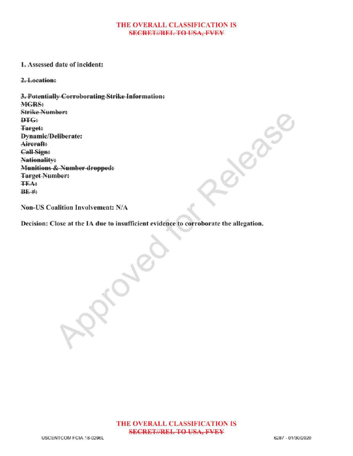#### THE OVERALL CLASSIFICATION IS **SECRET//REL TO USA, FVEY**

#### 1.Assessed date of incident:

2.Location

3.Potentially Corroborating Strike Information: MGRS: Strike Number: DTG: Target: Dynamic/Deliberate: Aircraft: Call Sign: Nationality: Munitions & Number dropped: **Target Number:** TEA :  $BE$ #:

Non-US Coalition Involvement: N/A

Decision: Close at the IA due to insufficient evidence to corroborate the allegation.

 $\mathcal{S}_{\infty}$ 

THE OVERALL CLASSIFICATION IS **SECRET//REL TO USA, FVEY**